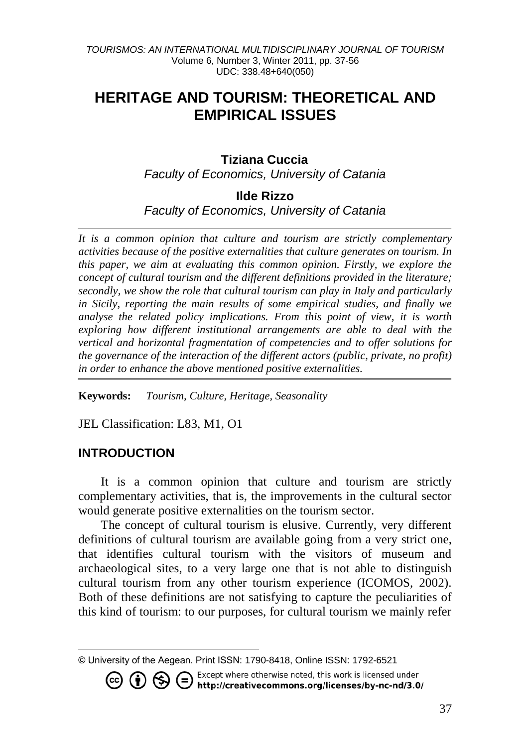# **HERITAGE AND TOURISM: THEORETICAL AND EMPIRICAL ISSUES**

# **Tiziana Cuccia<sup>1</sup>**

*Faculty of Economics, University of Catania*

**Ilde Rizzo**

*Faculty of Economics, University of Catania*

*It is a common opinion that culture and tourism are strictly complementary activities because of the positive externalities that culture generates on tourism. In this paper, we aim at evaluating this common opinion. Firstly, we explore the concept of cultural tourism and the different definitions provided in the literature; secondly, we show the role that cultural tourism can play in Italy and particularly in Sicily, reporting the main results of some empirical studies, and finally we analyse the related policy implications. From this point of view, it is worth exploring how different institutional arrangements are able to deal with the vertical and horizontal fragmentation of competencies and to offer solutions for the governance of the interaction of the different actors (public, private, no profit) in order to enhance the above mentioned positive externalities.*

**Keywords:** *Tourism, Culture, Heritage, Seasonality*

JEL Classification: L83, M1, O1

# **INTRODUCTION**

It is a common opinion that culture and tourism are strictly complementary activities, that is, the improvements in the cultural sector would generate positive externalities on the tourism sector.

The concept of cultural tourism is elusive. Currently, very different definitions of cultural tourism are available going from a very strict one, that identifies cultural tourism with the visitors of museum and archaeological sites, to a very large one that is not able to distinguish cultural tourism from any other tourism experience (ICOMOS, 2002). Both of these definitions are not satisfying to capture the peculiarities of this kind of tourism: to our purposes, for cultural tourism we mainly refer

Except where otherwise noted, this work is licensed under / http://creativecommons.org/licenses/by-nc-nd/3.0/

l © University of the Aegean. Print ISSN: 1790-8418, Online ISSN: 1792-6521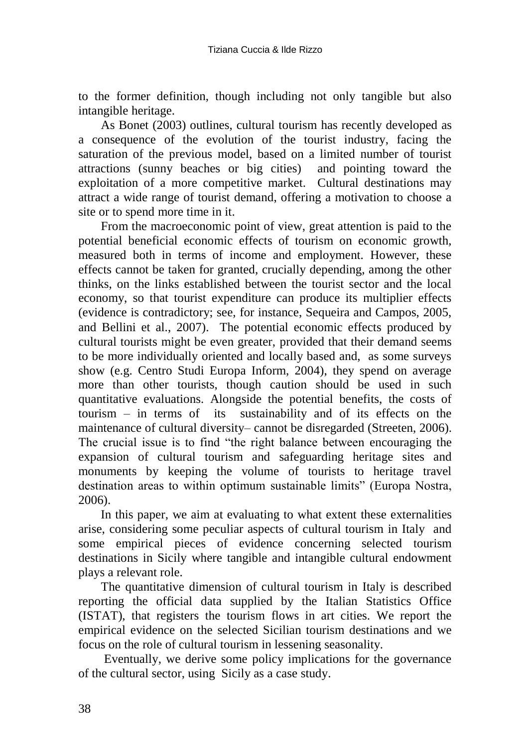to the former definition, though including not only tangible but also intangible heritage.

As Bonet (2003) outlines, cultural tourism has recently developed as a consequence of the evolution of the tourist industry, facing the saturation of the previous model, based on a limited number of tourist attractions (sunny beaches or big cities) and pointing toward the exploitation of a more competitive market. Cultural destinations may attract a wide range of tourist demand, offering a motivation to choose a site or to spend more time in it.

From the macroeconomic point of view, great attention is paid to the potential beneficial economic effects of tourism on economic growth, measured both in terms of income and employment. However, these effects cannot be taken for granted, crucially depending, among the other thinks, on the links established between the tourist sector and the local economy, so that tourist expenditure can produce its multiplier effects (evidence is contradictory; see, for instance, Sequeira and Campos, 2005, and Bellini et al., 2007). The potential economic effects produced by cultural tourists might be even greater, provided that their demand seems to be more individually oriented and locally based and, as some surveys show (e.g. Centro Studi Europa Inform, 2004), they spend on average more than other tourists, though caution should be used in such quantitative evaluations. Alongside the potential benefits, the costs of tourism – in terms of its sustainability and of its effects on the maintenance of cultural diversity– cannot be disregarded (Streeten, 2006). The crucial issue is to find "the right balance between encouraging the expansion of cultural tourism and safeguarding heritage sites and monuments by keeping the volume of tourists to heritage travel destination areas to within optimum sustainable limits" (Europa Nostra, 2006).

In this paper, we aim at evaluating to what extent these externalities arise, considering some peculiar aspects of cultural tourism in Italy and some empirical pieces of evidence concerning selected tourism destinations in Sicily where tangible and intangible cultural endowment plays a relevant role.

The quantitative dimension of cultural tourism in Italy is described reporting the official data supplied by the Italian Statistics Office (ISTAT), that registers the tourism flows in art cities. We report the empirical evidence on the selected Sicilian tourism destinations and we focus on the role of cultural tourism in lessening seasonality.

Eventually, we derive some policy implications for the governance of the cultural sector, using Sicily as a case study.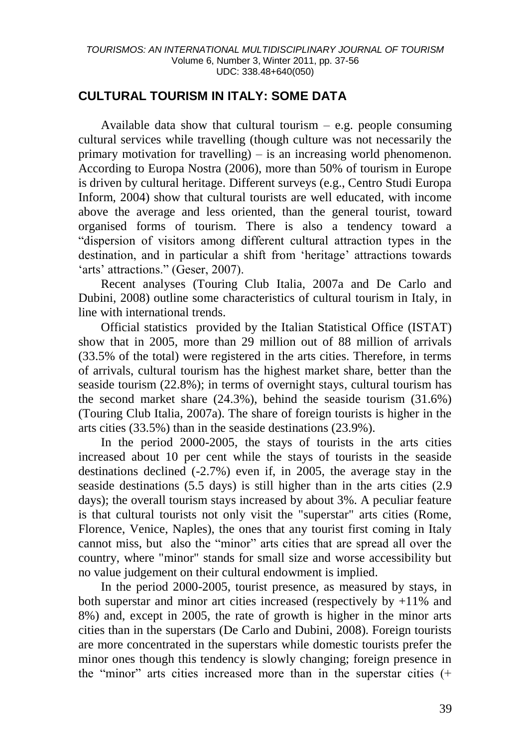# **CULTURAL TOURISM IN ITALY: SOME DATA**

Available data show that cultural tourism  $-$  e.g. people consuming cultural services while travelling (though culture was not necessarily the primary motivation for travelling) – is an increasing world phenomenon. According to Europa Nostra (2006), more than 50% of tourism in Europe is driven by cultural heritage. Different surveys (e.g., Centro Studi Europa Inform, 2004) show that cultural tourists are well educated, with income above the average and less oriented, than the general tourist, toward organised forms of tourism. There is also a tendency toward a "dispersion of visitors among different cultural attraction types in the destination, and in particular a shift from 'heritage' attractions towards 'arts' attractions." (Geser, 2007).

Recent analyses (Touring Club Italia, 2007a and De Carlo and Dubini, 2008) outline some characteristics of cultural tourism in Italy, in line with international trends.

Official statistics provided by the Italian Statistical Office (ISTAT) show that in 2005, more than 29 million out of 88 million of arrivals (33.5% of the total) were registered in the arts cities. Therefore, in terms of arrivals, cultural tourism has the highest market share, better than the seaside tourism (22.8%); in terms of overnight stays, cultural tourism has the second market share (24.3%), behind the seaside tourism (31.6%) (Touring Club Italia, 2007a). The share of foreign tourists is higher in the arts cities (33.5%) than in the seaside destinations (23.9%).

In the period 2000-2005, the stays of tourists in the arts cities increased about 10 per cent while the stays of tourists in the seaside destinations declined (-2.7%) even if, in 2005, the average stay in the seaside destinations (5.5 days) is still higher than in the arts cities (2.9 days); the overall tourism stays increased by about 3%. A peculiar feature is that cultural tourists not only visit the "superstar" arts cities (Rome, Florence, Venice, Naples), the ones that any tourist first coming in Italy cannot miss, but also the "minor" arts cities that are spread all over the country, where "minor" stands for small size and worse accessibility but no value judgement on their cultural endowment is implied.

In the period 2000-2005, tourist presence, as measured by stays, in both superstar and minor art cities increased (respectively by  $+11\%$  and 8%) and, except in 2005, the rate of growth is higher in the minor arts cities than in the superstars (De Carlo and Dubini, 2008). Foreign tourists are more concentrated in the superstars while domestic tourists prefer the minor ones though this tendency is slowly changing; foreign presence in the "minor" arts cities increased more than in the superstar cities (+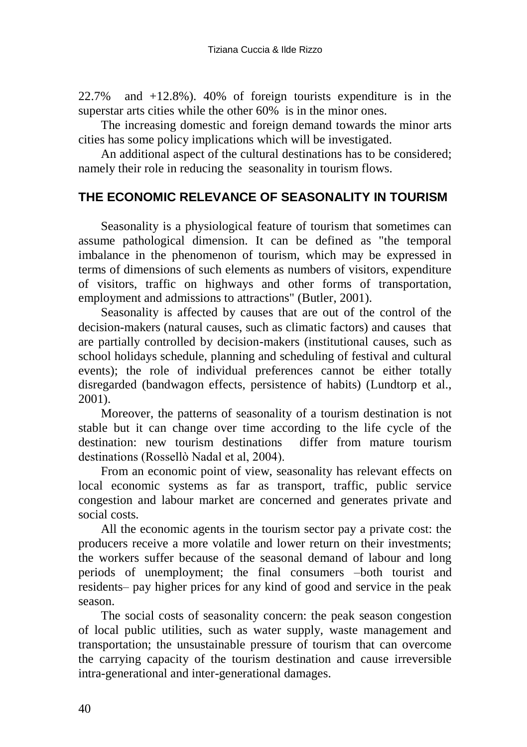22.7% and +12.8%). 40% of foreign tourists expenditure is in the superstar arts cities while the other 60% is in the minor ones.

The increasing domestic and foreign demand towards the minor arts cities has some policy implications which will be investigated.

An additional aspect of the cultural destinations has to be considered; namely their role in reducing the seasonality in tourism flows.

# **THE ECONOMIC RELEVANCE OF SEASONALITY IN TOURISM**

Seasonality is a physiological feature of tourism that sometimes can assume pathological dimension. It can be defined as "the temporal imbalance in the phenomenon of tourism, which may be expressed in terms of dimensions of such elements as numbers of visitors, expenditure of visitors, traffic on highways and other forms of transportation, employment and admissions to attractions" (Butler, 2001).

Seasonality is affected by causes that are out of the control of the decision-makers (natural causes, such as climatic factors) and causes that are partially controlled by decision-makers (institutional causes, such as school holidays schedule, planning and scheduling of festival and cultural events); the role of individual preferences cannot be either totally disregarded (bandwagon effects, persistence of habits) (Lundtorp et al., 2001).

Moreover, the patterns of seasonality of a tourism destination is not stable but it can change over time according to the life cycle of the destination: new tourism destinations differ from mature tourism destinations (Rossellò Nadal et al, 2004).

From an economic point of view, seasonality has relevant effects on local economic systems as far as transport, traffic, public service congestion and labour market are concerned and generates private and social costs.

All the economic agents in the tourism sector pay a private cost: the producers receive a more volatile and lower return on their investments; the workers suffer because of the seasonal demand of labour and long periods of unemployment; the final consumers –both tourist and residents– pay higher prices for any kind of good and service in the peak season.

The social costs of seasonality concern: the peak season congestion of local public utilities, such as water supply, waste management and transportation; the unsustainable pressure of tourism that can overcome the carrying capacity of the tourism destination and cause irreversible intra-generational and inter-generational damages.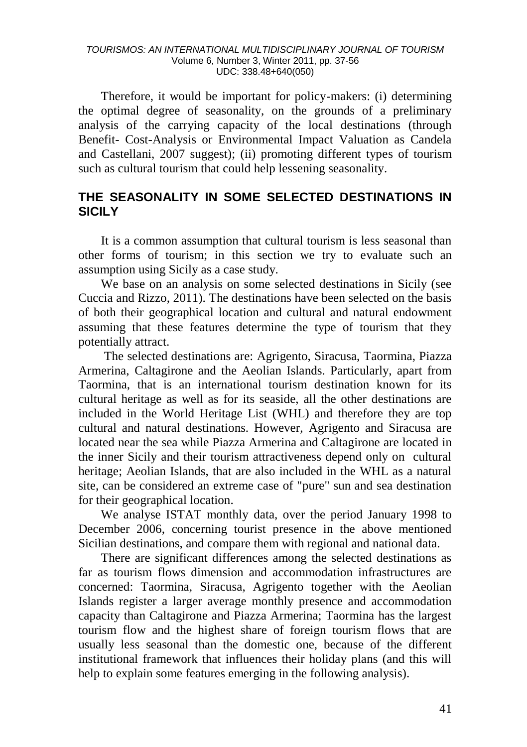#### *TOURISMOS: AN INTERNATIONAL MULTIDISCIPLINARY JOURNAL OF TOURISM* Volume 6, Number 3, Winter 2011, pp. 37-56 UDC: 338.48+640(050)

Therefore, it would be important for policy-makers: (i) determining the optimal degree of seasonality, on the grounds of a preliminary analysis of the carrying capacity of the local destinations (through Benefit- Cost-Analysis or Environmental Impact Valuation as Candela and Castellani, 2007 suggest); (ii) promoting different types of tourism such as cultural tourism that could help lessening seasonality.

## **THE SEASONALITY IN SOME SELECTED DESTINATIONS IN SICILY**

It is a common assumption that cultural tourism is less seasonal than other forms of tourism; in this section we try to evaluate such an assumption using Sicily as a case study.

We base on an analysis on some selected destinations in Sicily (see Cuccia and Rizzo, 2011). The destinations have been selected on the basis of both their geographical location and cultural and natural endowment assuming that these features determine the type of tourism that they potentially attract.

The selected destinations are: Agrigento, Siracusa, Taormina, Piazza Armerina, Caltagirone and the Aeolian Islands. Particularly, apart from Taormina, that is an international tourism destination known for its cultural heritage as well as for its seaside, all the other destinations are included in the World Heritage List (WHL) and therefore they are top cultural and natural destinations. However, Agrigento and Siracusa are located near the sea while Piazza Armerina and Caltagirone are located in the inner Sicily and their tourism attractiveness depend only on cultural heritage; Aeolian Islands, that are also included in the WHL as a natural site, can be considered an extreme case of "pure" sun and sea destination for their geographical location.

We analyse ISTAT monthly data, over the period January 1998 to December 2006, concerning tourist presence in the above mentioned Sicilian destinations, and compare them with regional and national data.

There are significant differences among the selected destinations as far as tourism flows dimension and accommodation infrastructures are concerned: Taormina, Siracusa, Agrigento together with the Aeolian Islands register a larger average monthly presence and accommodation capacity than Caltagirone and Piazza Armerina; Taormina has the largest tourism flow and the highest share of foreign tourism flows that are usually less seasonal than the domestic one, because of the different institutional framework that influences their holiday plans (and this will help to explain some features emerging in the following analysis).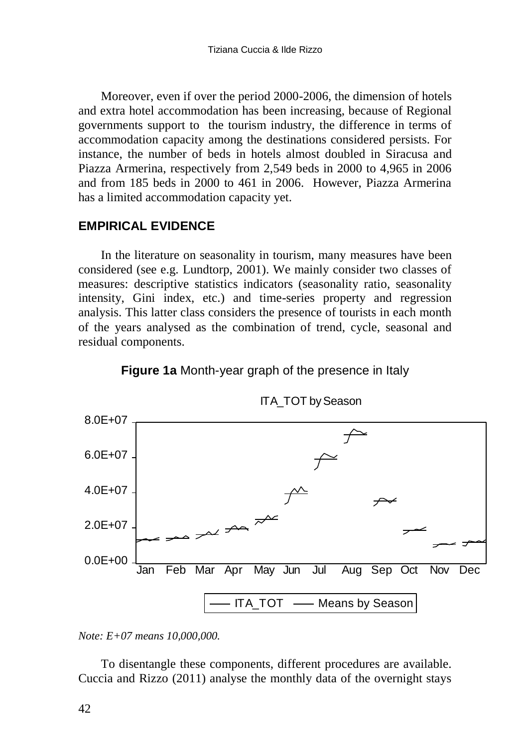Moreover, even if over the period 2000-2006, the dimension of hotels and extra hotel accommodation has been increasing, because of Regional governments support to the tourism industry, the difference in terms of accommodation capacity among the destinations considered persists. For instance, the number of beds in hotels almost doubled in Siracusa and Piazza Armerina, respectively from 2,549 beds in 2000 to 4,965 in 2006 and from 185 beds in 2000 to 461 in 2006. However, Piazza Armerina has a limited accommodation capacity yet.

# **EMPIRICAL EVIDENCE**

In the literature on seasonality in tourism, many measures have been considered (see e.g. Lundtorp, 2001). We mainly consider two classes of measures: descriptive statistics indicators (seasonality ratio, seasonality intensity, Gini index, etc.) and time-series property and regression analysis. This latter class considers the presence of tourists in each month of the years analysed as the combination of trend, cycle, seasonal and residual components.



**Figure 1a** Month-year graph of the presence in Italy

To disentangle these components, different procedures are available. Cuccia and Rizzo (2011) analyse the monthly data of the overnight stays

*Note: E+07 means 10,000,000.*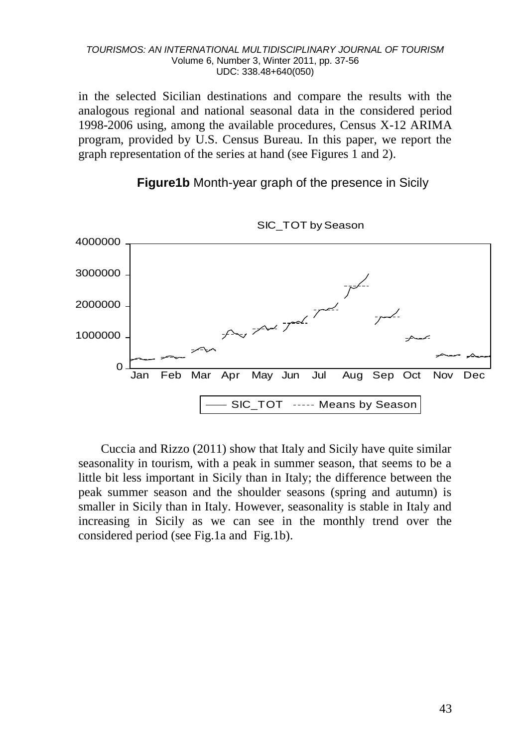#### *TOURISMOS: AN INTERNATIONAL MULTIDISCIPLINARY JOURNAL OF TOURISM* Volume 6, Number 3, Winter 2011, pp. 37-56 UDC: 338.48+640(050)

in the selected Sicilian destinations and compare the results with the analogous regional and national seasonal data in the considered period 1998-2006 using, among the available procedures, Census X-12 ARIMA program, provided by U.S. Census Bureau. In this paper, we report the graph representation of the series at hand (see Figures 1 and 2).

**Figure1b** Month-year graph of the presence in Sicily



SIC TOT by Season

Cuccia and Rizzo (2011) show that Italy and Sicily have quite similar seasonality in tourism, with a peak in summer season, that seems to be a little bit less important in Sicily than in Italy; the difference between the peak summer season and the shoulder seasons (spring and autumn) is smaller in Sicily than in Italy. However, seasonality is stable in Italy and increasing in Sicily as we can see in the monthly trend over the considered period (see Fig.1a and Fig.1b).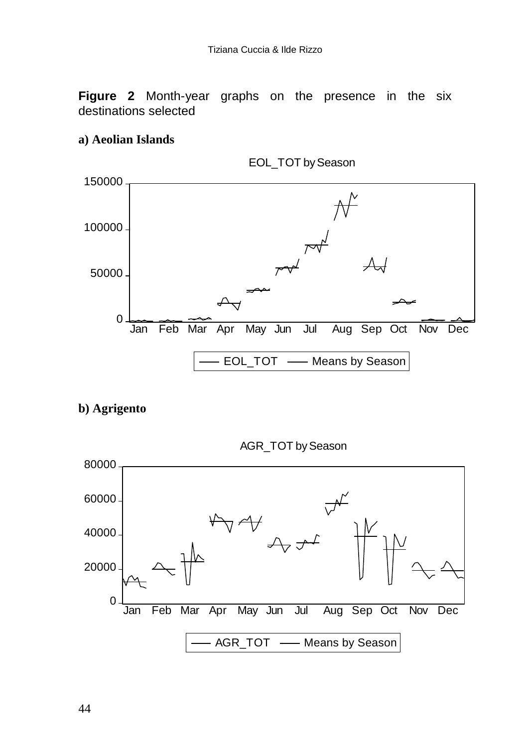**Figure 2** Month-year graphs on the presence in the six destinations selected

### **a) Aeolian Islands**



EOL\_TOT by Season

### **b) Agrigento**



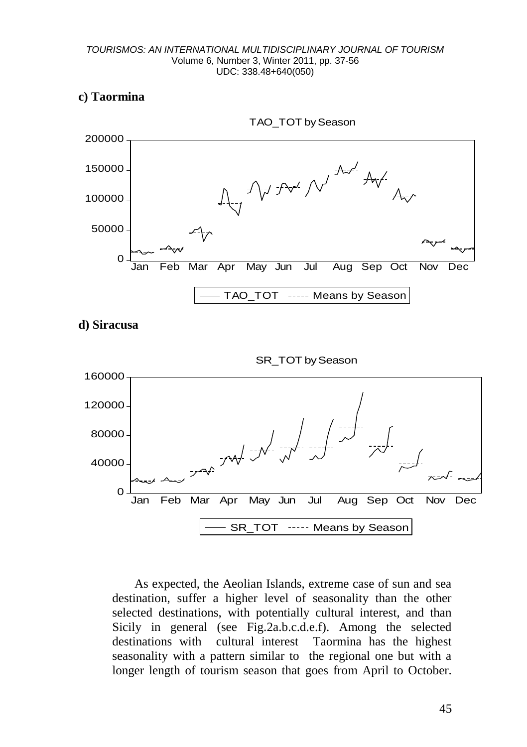### **c) Taormina**







As expected, the Aeolian Islands, extreme case of sun and sea destination, suffer a higher level of seasonality than the other selected destinations, with potentially cultural interest, and than Sicily in general (see Fig.2a.b.c.d.e.f). Among the selected destinations with cultural interest Taormina has the highest seasonality with a pattern similar to the regional one but with a longer length of tourism season that goes from April to October.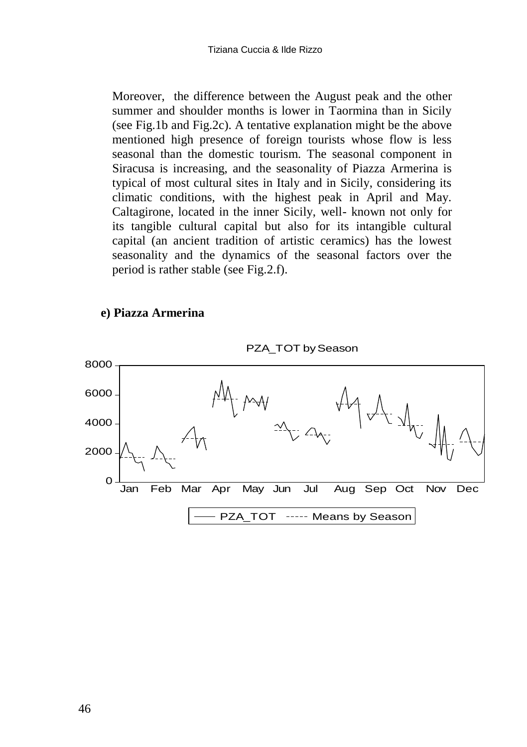Moreover, the difference between the August peak and the other summer and shoulder months is lower in Taormina than in Sicily (see Fig.1b and Fig.2c). A tentative explanation might be the above mentioned high presence of foreign tourists whose flow is less seasonal than the domestic tourism. The seasonal component in Siracusa is increasing, and the seasonality of Piazza Armerina is typical of most cultural sites in Italy and in Sicily, considering its climatic conditions, with the highest peak in April and May. Caltagirone, located in the inner Sicily, well- known not only for its tangible cultural capital but also for its intangible cultural capital (an ancient tradition of artistic ceramics) has the lowest seasonality and the dynamics of the seasonal factors over the period is rather stable (see Fig.2.f).





PZA\_TOT bySeason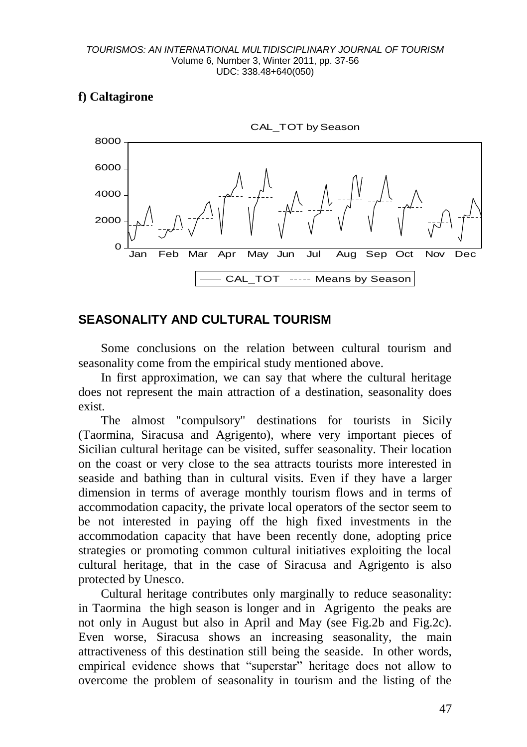# **f) Caltagirone**



# **SEASONALITY AND CULTURAL TOURISM**

Some conclusions on the relation between cultural tourism and seasonality come from the empirical study mentioned above.

In first approximation, we can say that where the cultural heritage does not represent the main attraction of a destination, seasonality does exist.

The almost "compulsory" destinations for tourists in Sicily (Taormina, Siracusa and Agrigento), where very important pieces of Sicilian cultural heritage can be visited, suffer seasonality. Their location on the coast or very close to the sea attracts tourists more interested in seaside and bathing than in cultural visits. Even if they have a larger dimension in terms of average monthly tourism flows and in terms of accommodation capacity, the private local operators of the sector seem to be not interested in paying off the high fixed investments in the accommodation capacity that have been recently done, adopting price strategies or promoting common cultural initiatives exploiting the local cultural heritage, that in the case of Siracusa and Agrigento is also protected by Unesco.

Cultural heritage contributes only marginally to reduce seasonality: in Taormina the high season is longer and in Agrigento the peaks are not only in August but also in April and May (see Fig.2b and Fig.2c). Even worse, Siracusa shows an increasing seasonality, the main attractiveness of this destination still being the seaside. In other words, empirical evidence shows that "superstar" heritage does not allow to overcome the problem of seasonality in tourism and the listing of the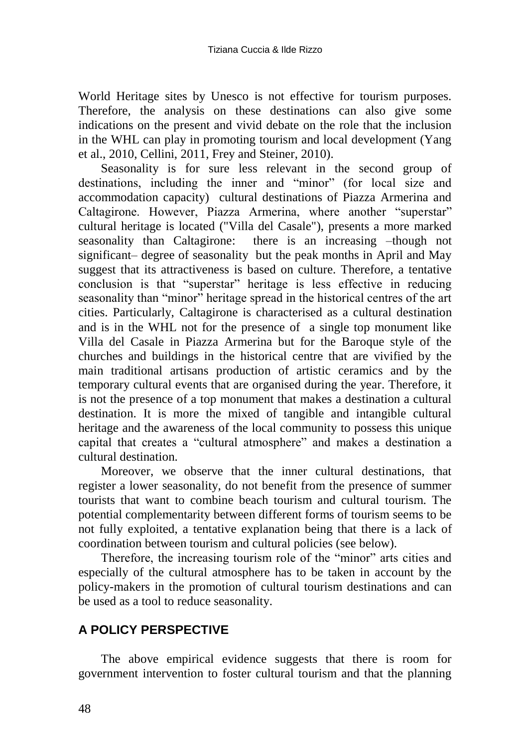World Heritage sites by Unesco is not effective for tourism purposes. Therefore, the analysis on these destinations can also give some indications on the present and vivid debate on the role that the inclusion in the WHL can play in promoting tourism and local development (Yang et al., 2010, Cellini, 2011, Frey and Steiner, 2010).

Seasonality is for sure less relevant in the second group of destinations, including the inner and "minor" (for local size and accommodation capacity) cultural destinations of Piazza Armerina and Caltagirone. However, Piazza Armerina, where another "superstar" cultural heritage is located ("Villa del Casale"), presents a more marked seasonality than Caltagirone: there is an increasing –though not significant– degree of seasonality but the peak months in April and May suggest that its attractiveness is based on culture. Therefore, a tentative conclusion is that "superstar" heritage is less effective in reducing seasonality than "minor" heritage spread in the historical centres of the art cities. Particularly, Caltagirone is characterised as a cultural destination and is in the WHL not for the presence of a single top monument like Villa del Casale in Piazza Armerina but for the Baroque style of the churches and buildings in the historical centre that are vivified by the main traditional artisans production of artistic ceramics and by the temporary cultural events that are organised during the year. Therefore, it is not the presence of a top monument that makes a destination a cultural destination. It is more the mixed of tangible and intangible cultural heritage and the awareness of the local community to possess this unique capital that creates a "cultural atmosphere" and makes a destination a cultural destination.

Moreover, we observe that the inner cultural destinations, that register a lower seasonality, do not benefit from the presence of summer tourists that want to combine beach tourism and cultural tourism. The potential complementarity between different forms of tourism seems to be not fully exploited, a tentative explanation being that there is a lack of coordination between tourism and cultural policies (see below).

Therefore, the increasing tourism role of the "minor" arts cities and especially of the cultural atmosphere has to be taken in account by the policy-makers in the promotion of cultural tourism destinations and can be used as a tool to reduce seasonality.

# **A POLICY PERSPECTIVE**

The above empirical evidence suggests that there is room for government intervention to foster cultural tourism and that the planning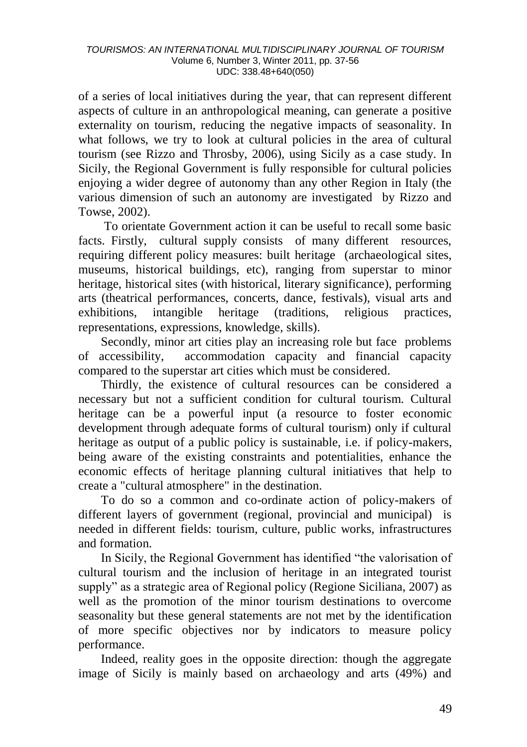of a series of local initiatives during the year, that can represent different aspects of culture in an anthropological meaning, can generate a positive externality on tourism, reducing the negative impacts of seasonality. In what follows, we try to look at cultural policies in the area of cultural tourism (see Rizzo and Throsby, 2006), using Sicily as a case study. In Sicily, the Regional Government is fully responsible for cultural policies enjoying a wider degree of autonomy than any other Region in Italy (the various dimension of such an autonomy are investigated by Rizzo and Towse, 2002).

To orientate Government action it can be useful to recall some basic facts. Firstly, cultural supply consists of many different resources, requiring different policy measures: built heritage (archaeological sites, museums, historical buildings, etc), ranging from superstar to minor heritage, historical sites (with historical, literary significance), performing arts (theatrical performances, concerts, dance, festivals), visual arts and exhibitions, intangible heritage (traditions, religious practices, representations, expressions, knowledge, skills).

Secondly, minor art cities play an increasing role but face problems of accessibility, accommodation capacity and financial capacity compared to the superstar art cities which must be considered.

Thirdly, the existence of cultural resources can be considered a necessary but not a sufficient condition for cultural tourism. Cultural heritage can be a powerful input (a resource to foster economic development through adequate forms of cultural tourism) only if cultural heritage as output of a public policy is sustainable, i.e. if policy-makers, being aware of the existing constraints and potentialities, enhance the economic effects of heritage planning cultural initiatives that help to create a "cultural atmosphere" in the destination.

To do so a common and co-ordinate action of policy-makers of different layers of government (regional, provincial and municipal) is needed in different fields: tourism, culture, public works, infrastructures and formation.

In Sicily, the Regional Government has identified "the valorisation of cultural tourism and the inclusion of heritage in an integrated tourist supply" as a strategic area of Regional policy (Regione Siciliana, 2007) as well as the promotion of the minor tourism destinations to overcome seasonality but these general statements are not met by the identification of more specific objectives nor by indicators to measure policy performance.

Indeed, reality goes in the opposite direction: though the aggregate image of Sicily is mainly based on archaeology and arts (49%) and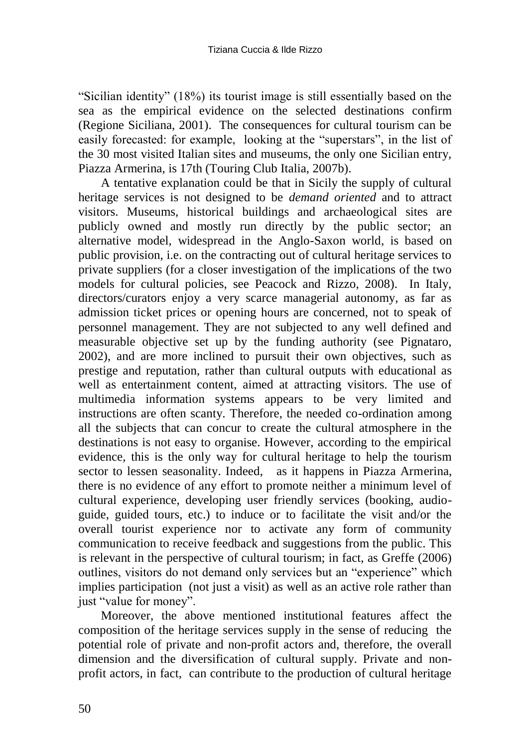"Sicilian identity" (18%) its tourist image is still essentially based on the sea as the empirical evidence on the selected destinations confirm (Regione Siciliana, 2001). The consequences for cultural tourism can be easily forecasted: for example, looking at the "superstars", in the list of the 30 most visited Italian sites and museums, the only one Sicilian entry, Piazza Armerina, is 17th (Touring Club Italia, 2007b).

A tentative explanation could be that in Sicily the supply of cultural heritage services is not designed to be *demand oriented* and to attract visitors. Museums, historical buildings and archaeological sites are publicly owned and mostly run directly by the public sector; an alternative model, widespread in the Anglo-Saxon world, is based on public provision, i.e. on the contracting out of cultural heritage services to private suppliers (for a closer investigation of the implications of the two models for cultural policies, see Peacock and Rizzo, 2008). In Italy, directors/curators enjoy a very scarce managerial autonomy, as far as admission ticket prices or opening hours are concerned, not to speak of personnel management. They are not subjected to any well defined and measurable objective set up by the funding authority (see Pignataro, 2002), and are more inclined to pursuit their own objectives, such as prestige and reputation, rather than cultural outputs with educational as well as entertainment content, aimed at attracting visitors. The use of multimedia information systems appears to be very limited and instructions are often scanty. Therefore, the needed co-ordination among all the subjects that can concur to create the cultural atmosphere in the destinations is not easy to organise. However, according to the empirical evidence, this is the only way for cultural heritage to help the tourism sector to lessen seasonality. Indeed, as it happens in Piazza Armerina, there is no evidence of any effort to promote neither a minimum level of cultural experience, developing user friendly services (booking, audioguide, guided tours, etc.) to induce or to facilitate the visit and/or the overall tourist experience nor to activate any form of community communication to receive feedback and suggestions from the public. This is relevant in the perspective of cultural tourism; in fact, as Greffe (2006) outlines, visitors do not demand only services but an "experience" which implies participation (not just a visit) as well as an active role rather than just "value for money".

Moreover, the above mentioned institutional features affect the composition of the heritage services supply in the sense of reducing the potential role of private and non-profit actors and, therefore, the overall dimension and the diversification of cultural supply. Private and nonprofit actors, in fact, can contribute to the production of cultural heritage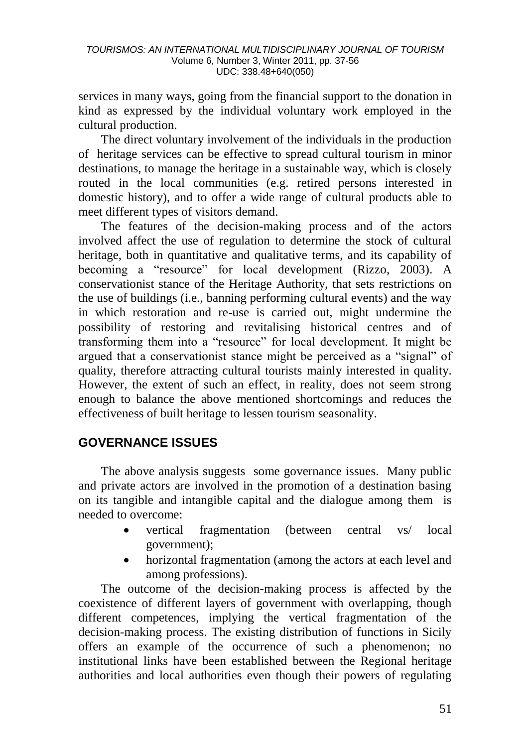services in many ways, going from the financial support to the donation in kind as expressed by the individual voluntary work employed in the cultural production.

The direct voluntary involvement of the individuals in the production of heritage services can be effective to spread cultural tourism in minor destinations, to manage the heritage in a sustainable way, which is closely routed in the local communities (e.g. retired persons interested in domestic history), and to offer a wide range of cultural products able to meet different types of visitors demand.

The features of the decision-making process and of the actors involved affect the use of regulation to determine the stock of cultural heritage, both in quantitative and qualitative terms, and its capability of becoming a "resource" for local development (Rizzo, 2003). A conservationist stance of the Heritage Authority, that sets restrictions on the use of buildings (i.e., banning performing cultural events) and the way in which restoration and re-use is carried out, might undermine the possibility of restoring and revitalising historical centres and of transforming them into a "resource" for local development. It might be argued that a conservationist stance might be perceived as a "signal" of quality, therefore attracting cultural tourists mainly interested in quality. However, the extent of such an effect, in reality, does not seem strong enough to balance the above mentioned shortcomings and reduces the effectiveness of built heritage to lessen tourism seasonality.

# **GOVERNANCE ISSUES**

The above analysis suggests some governance issues. Many public and private actors are involved in the promotion of a destination basing on its tangible and intangible capital and the dialogue among them is needed to overcome:

- vertical fragmentation (between central vs/ local government);
- horizontal fragmentation (among the actors at each level and among professions).

The outcome of the decision-making process is affected by the coexistence of different layers of government with overlapping, though different competences, implying the vertical fragmentation of the decision-making process. The existing distribution of functions in Sicily offers an example of the occurrence of such a phenomenon; no institutional links have been established between the Regional heritage authorities and local authorities even though their powers of regulating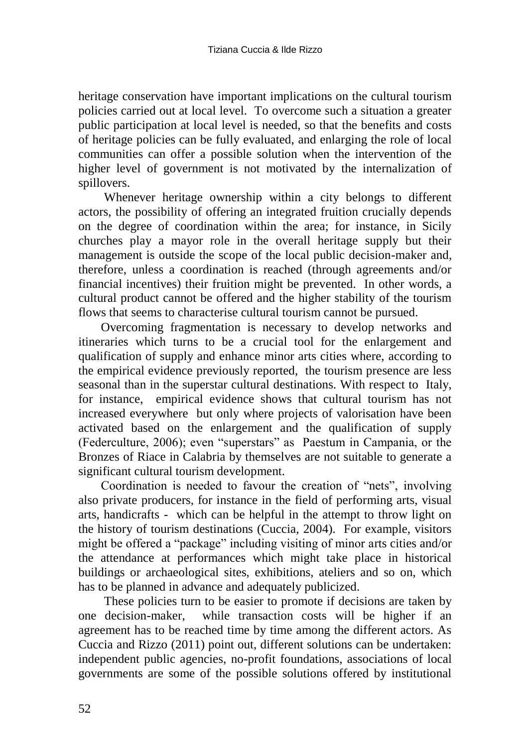heritage conservation have important implications on the cultural tourism policies carried out at local level. To overcome such a situation a greater public participation at local level is needed, so that the benefits and costs of heritage policies can be fully evaluated, and enlarging the role of local communities can offer a possible solution when the intervention of the higher level of government is not motivated by the internalization of spillovers.

Whenever heritage ownership within a city belongs to different actors, the possibility of offering an integrated fruition crucially depends on the degree of coordination within the area; for instance, in Sicily churches play a mayor role in the overall heritage supply but their management is outside the scope of the local public decision-maker and, therefore, unless a coordination is reached (through agreements and/or financial incentives) their fruition might be prevented. In other words, a cultural product cannot be offered and the higher stability of the tourism flows that seems to characterise cultural tourism cannot be pursued.

Overcoming fragmentation is necessary to develop networks and itineraries which turns to be a crucial tool for the enlargement and qualification of supply and enhance minor arts cities where, according to the empirical evidence previously reported, the tourism presence are less seasonal than in the superstar cultural destinations. With respect to Italy, for instance, empirical evidence shows that cultural tourism has not increased everywhere but only where projects of valorisation have been activated based on the enlargement and the qualification of supply (Federculture, 2006); even "superstars" as Paestum in Campania, or the Bronzes of Riace in Calabria by themselves are not suitable to generate a significant cultural tourism development.

Coordination is needed to favour the creation of "nets", involving also private producers, for instance in the field of performing arts, visual arts, handicrafts - which can be helpful in the attempt to throw light on the history of tourism destinations (Cuccia, 2004). For example, visitors might be offered a "package" including visiting of minor arts cities and/or the attendance at performances which might take place in historical buildings or archaeological sites, exhibitions, ateliers and so on, which has to be planned in advance and adequately publicized.

These policies turn to be easier to promote if decisions are taken by one decision-maker, while transaction costs will be higher if an agreement has to be reached time by time among the different actors. As Cuccia and Rizzo (2011) point out, different solutions can be undertaken: independent public agencies, no-profit foundations, associations of local governments are some of the possible solutions offered by institutional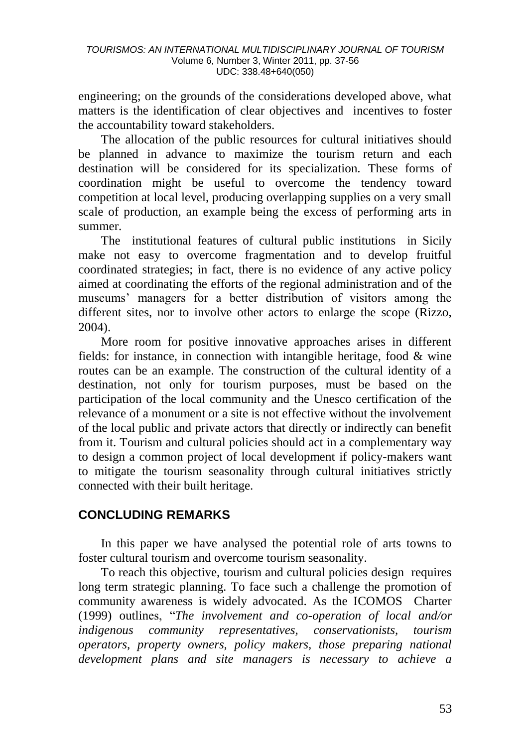engineering; on the grounds of the considerations developed above, what matters is the identification of clear objectives and incentives to foster the accountability toward stakeholders.

The allocation of the public resources for cultural initiatives should be planned in advance to maximize the tourism return and each destination will be considered for its specialization. These forms of coordination might be useful to overcome the tendency toward competition at local level, producing overlapping supplies on a very small scale of production, an example being the excess of performing arts in summer.

The institutional features of cultural public institutions in Sicily make not easy to overcome fragmentation and to develop fruitful coordinated strategies; in fact, there is no evidence of any active policy aimed at coordinating the efforts of the regional administration and of the museums" managers for a better distribution of visitors among the different sites, nor to involve other actors to enlarge the scope (Rizzo, 2004).

More room for positive innovative approaches arises in different fields: for instance, in connection with intangible heritage, food  $\&$  wine routes can be an example. The construction of the cultural identity of a destination, not only for tourism purposes, must be based on the participation of the local community and the Unesco certification of the relevance of a monument or a site is not effective without the involvement of the local public and private actors that directly or indirectly can benefit from it. Tourism and cultural policies should act in a complementary way to design a common project of local development if policy-makers want to mitigate the tourism seasonality through cultural initiatives strictly connected with their built heritage.

# **CONCLUDING REMARKS**

In this paper we have analysed the potential role of arts towns to foster cultural tourism and overcome tourism seasonality.

To reach this objective, tourism and cultural policies design requires long term strategic planning. To face such a challenge the promotion of community awareness is widely advocated. As the ICOMOS Charter (1999) outlines, "*The involvement and co-operation of local and/or indigenous community representatives, conservationists, tourism operators, property owners, policy makers, those preparing national development plans and site managers is necessary to achieve a*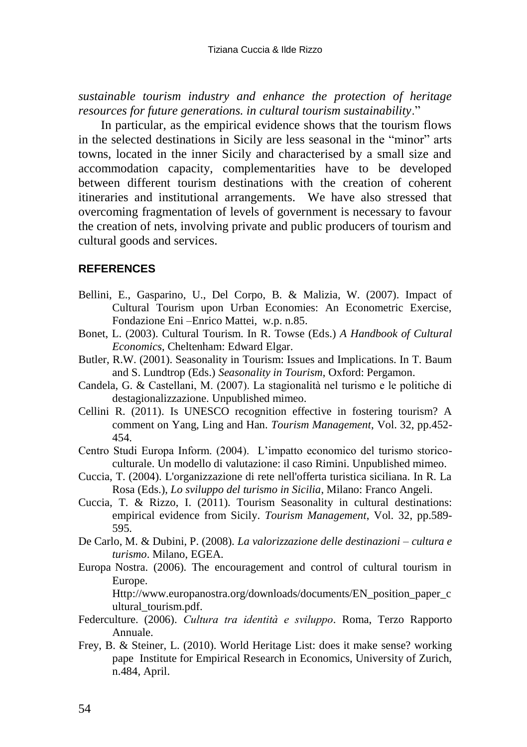*sustainable tourism industry and enhance the protection of heritage resources for future generations. in cultural tourism sustainability*."

In particular, as the empirical evidence shows that the tourism flows in the selected destinations in Sicily are less seasonal in the "minor" arts towns, located in the inner Sicily and characterised by a small size and accommodation capacity, complementarities have to be developed between different tourism destinations with the creation of coherent itineraries and institutional arrangements. We have also stressed that overcoming fragmentation of levels of government is necessary to favour the creation of nets, involving private and public producers of tourism and cultural goods and services.

#### **REFERENCES**

- Bellini, E., Gasparino, U., Del Corpo, B. & Malizia, W. (2007). Impact of Cultural Tourism upon Urban Economies: An Econometric Exercise, Fondazione Eni –Enrico Mattei, w.p. n.85.
- Bonet, L. (2003). Cultural Tourism. In R. Towse (Eds.) *A Handbook of Cultural Economics*, Cheltenham: Edward Elgar.
- Butler, R.W. (2001). Seasonality in Tourism: Issues and Implications. In T. Baum and S. Lundtrop (Eds.) *Seasonality in Tourism*, Oxford: Pergamon.
- Candela, G. & Castellani, M. (2007). La stagionalità nel turismo e le politiche di destagionalizzazione. Unpublished mimeo.
- Cellini R. (2011). Is UNESCO recognition effective in fostering tourism? A comment on Yang, Ling and Han. *Tourism Management*, Vol. 32, pp.452- 454.
- Centro Studi Europa Inform. (2004). L"impatto economico del turismo storicoculturale. Un modello di valutazione: il caso Rimini. Unpublished mimeo.
- Cuccia, T. (2004). L'organizzazione di rete nell'offerta turistica siciliana. In R. La Rosa (Eds.), *Lo sviluppo del turismo in Sicilia*, Milano: Franco Angeli.
- Cuccia, T. & Rizzo, I. (2011). Tourism Seasonality in cultural destinations: empirical evidence from Sicily. *Tourism Management*, Vol. 32, pp.589- 595.
- De Carlo, M. & Dubini, P. (2008). *La valorizzazione delle destinazioni – cultura e turismo*. Milano, EGEA.
- Europa Nostra. (2006). The encouragement and control of cultural tourism in Europe.

[Http://www.europanostra.org/downloads/documents/EN\\_position\\_paper\\_c](http://www.europanostra.org/downloads/documents/EN_position_paper_cultural_tourism.pdf) [ultural\\_tourism.pdf.](http://www.europanostra.org/downloads/documents/EN_position_paper_cultural_tourism.pdf)

- Federculture. (2006). *Cultura tra identità e sviluppo.* Roma, Terzo Rapporto Annuale.
- Frey, B. & Steiner, L. (2010). World Heritage List: does it make sense? working pape Institute for Empirical Research in Economics, University of Zurich, n.484, April.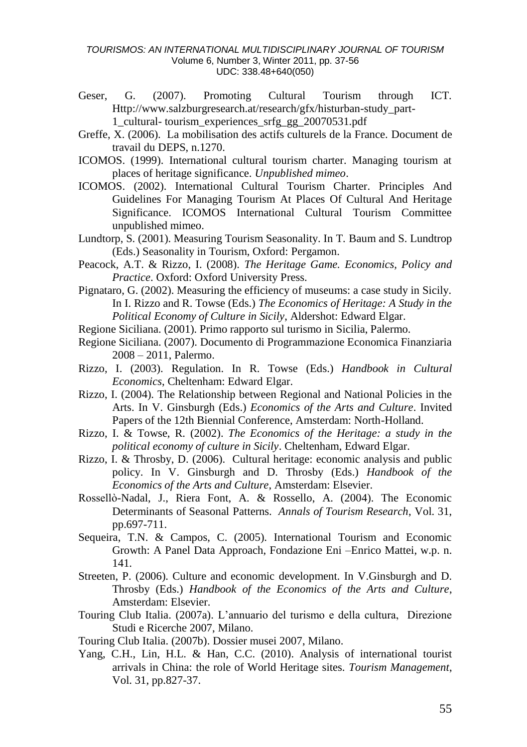#### *TOURISMOS: AN INTERNATIONAL MULTIDISCIPLINARY JOURNAL OF TOURISM* Volume 6, Number 3, Winter 2011, pp. 37-56 UDC: 338.48+640(050)

- Geser, G. (2007). Promoting Cultural Tourism through ICT. [Http://www.salzburgresearch.at/research/gfx/histurban-study\\_part-](http://www.salzburgresearch.at/research/gfx/histurban-study_part-1_cultural-)[1\\_cultural-](http://www.salzburgresearch.at/research/gfx/histurban-study_part-1_cultural-) tourism\_experiences\_srfg\_gg\_20070531.pdf
- Greffe, X. (2006). La mobilisation des actifs culturels de la France. Document de travail du DEPS, n.1270.
- ICOMOS. (1999). International cultural tourism charter. Managing tourism at places of heritage significance. *Unpublished mimeo*.
- ICOMOS. (2002). International Cultural Tourism Charter. Principles And Guidelines For Managing Tourism At Places Of Cultural And Heritage Significance. ICOMOS International Cultural Tourism Committee unpublished mimeo.
- Lundtorp, S. (2001). Measuring Tourism Seasonality. In T. Baum and S. Lundtrop (Eds.) Seasonality in Tourism, Oxford: Pergamon.
- Peacock, A.T. & Rizzo, I. (2008). *The Heritage Game. Economics, Policy and Practice*. Oxford: Oxford University Press.
- Pignataro, G. (2002). Measuring the efficiency of museums: a case study in Sicily. In I. Rizzo and R. Towse (Eds.) *The Economics of Heritage: A Study in the Political Economy of Culture in Sicily*, Aldershot: Edward Elgar.
- Regione Siciliana. (2001). Primo rapporto sul turismo in Sicilia, Palermo.
- Regione Siciliana. (2007). Documento di Programmazione Economica Finanziaria 2008 – 2011, Palermo.
- Rizzo, I. (2003). Regulation. In R. Towse (Eds.) *Handbook in Cultural Economics*, Cheltenham: Edward Elgar.
- Rizzo, I. (2004). The Relationship between Regional and National Policies in the Arts. In V. Ginsburgh (Eds.) *Economics of the Arts and Culture*. Invited Papers of the 12th Biennial Conference, Amsterdam: North-Holland.
- Rizzo, I. & Towse, R. (2002). *The Economics of the Heritage: a study in the political economy of culture in Sicily*. Cheltenham, Edward Elgar.
- Rizzo, I. & Throsby, D. (2006). Cultural heritage: economic analysis and public policy. In V. Ginsburgh and D. Throsby (Eds.) *Handbook of the Economics of the Arts and Culture*, Amsterdam: Elsevier.
- Rossellò-Nadal, J., Riera Font, A. & Rossello, A. (2004). The Economic Determinants of Seasonal Patterns. *Annals of Tourism Research*, Vol. 31, pp.697-711.
- Sequeira, T.N. & Campos, C. (2005). International Tourism and Economic Growth: A Panel Data Approach, Fondazione Eni –Enrico Mattei, w.p. n. 141.
- Streeten, P. (2006). Culture and economic development. In V.Ginsburgh and D. Throsby (Eds.) *Handbook of the Economics of the Arts and Culture*, Amsterdam: Elsevier.
- Touring Club Italia. (2007a). L"annuario del turismo e della cultura, Direzione Studi e Ricerche 2007, Milano.
- Touring Club Italia. (2007b). Dossier musei 2007, Milano.
- Yang, C.H., Lin, H.L. & Han, C.C. (2010). Analysis of international tourist arrivals in China: the role of World Heritage sites. *Tourism Management*, Vol. 31, pp.827-37.